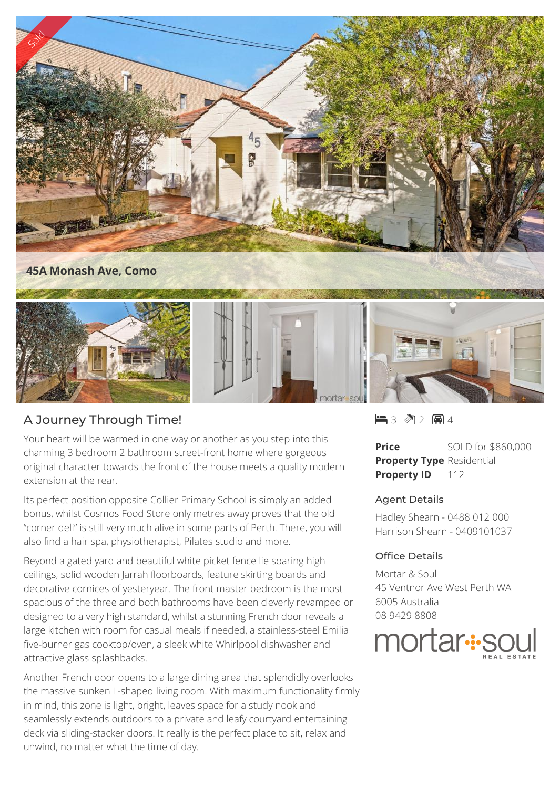

## A Journey Through Time!

Your heart will be warmed in one way or another as you step into this charming 3 bedroom 2 bathroom street-front home where gorgeous original character towards the front of the house meets a quality modern extension at the rear.

Its perfect position opposite Collier Primary School is simply an added bonus, whilst Cosmos Food Store only metres away proves that the old "corner deli" is still very much alive in some parts of Perth. There, you will also find a hair spa, physiotherapist, Pilates studio and more.

Beyond a gated yard and beautiful white picket fence lie soaring high ceilings, solid wooden Jarrah floorboards, feature skirting boards and decorative cornices of yesteryear. The front master bedroom is the most spacious of the three and both bathrooms have been cleverly revamped or designed to a very high standard, whilst a stunning French door reveals a large kitchen with room for casual meals if needed, a stainless-steel Emilia five-burner gas cooktop/oven, a sleek white Whirlpool dishwasher and attractive glass splashbacks.

Another French door opens to a large dining area that splendidly overlooks the massive sunken L-shaped living room. With maximum functionality firmly in mind, this zone is light, bright, leaves space for a study nook and seamlessly extends outdoors to a private and leafy courtyard entertaining deck via sliding-stacker doors. It really is the perfect place to sit, relax and unwind, no matter what the time of day.

 $-3$   $2$   $-4$ 

**Price** SOLD for \$860,000 **Property Type** Residential **Property ID** 112

## Agent Details

Hadley Shearn - 0488 012 000 Harrison Shearn - 0409101037

## Office Details

Mortar & Soul 45 Ventnor Ave West Perth WA 6005 Australia 08 9429 8808